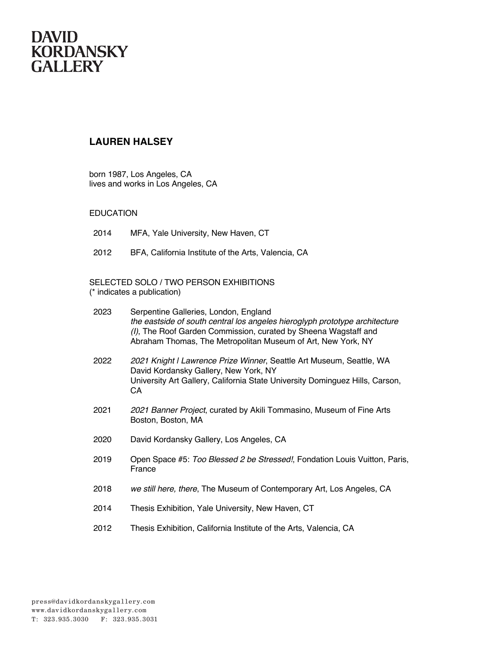#### **LAUREN HALSEY**

born 1987, Los Angeles, CA lives and works in Los Angeles, CA

#### EDUCATION

- 2014 MFA, Yale University, New Haven, CT
- 2012 BFA, California Institute of the Arts, Valencia, CA

#### SELECTED SOLO / TWO PERSON EXHIBITIONS (\* indicates a publication)

| 2023 | Serpentine Galleries, London, England<br>the eastside of south central los angeles hieroglyph prototype architecture<br>(I), The Roof Garden Commission, curated by Sheena Wagstaff and<br>Abraham Thomas, The Metropolitan Museum of Art, New York, NY |  |
|------|---------------------------------------------------------------------------------------------------------------------------------------------------------------------------------------------------------------------------------------------------------|--|
| 2022 | 2021 Knight I Lawrence Prize Winner, Seattle Art Museum, Seattle, WA<br>David Kordansky Gallery, New York, NY<br>University Art Gallery, California State University Dominguez Hills, Carson,<br>СA                                                     |  |
| 2021 | 2021 Banner Project, curated by Akili Tommasino, Museum of Fine Arts<br>Boston, Boston, MA                                                                                                                                                              |  |
| 2020 | David Kordansky Gallery, Los Angeles, CA                                                                                                                                                                                                                |  |
| 2019 | Open Space #5: Too Blessed 2 be Stressed!, Fondation Louis Vuitton, Paris,<br>France                                                                                                                                                                    |  |
| 2018 | we still here, there, The Museum of Contemporary Art, Los Angeles, CA                                                                                                                                                                                   |  |
| 2014 | Thesis Exhibition, Yale University, New Haven, CT                                                                                                                                                                                                       |  |
| 2012 | Thesis Exhibition, California Institute of the Arts, Valencia, CA                                                                                                                                                                                       |  |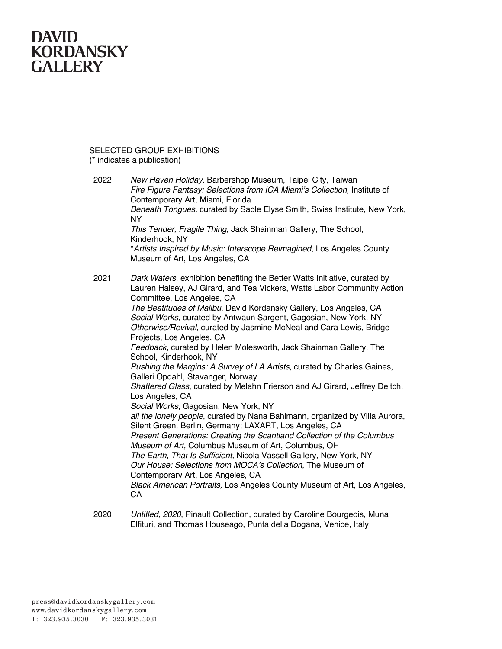SELECTED GROUP EXHIBITIONS (\* indicates a publication)

| 2022 | New Haven Holiday, Barbershop Museum, Taipei City, Taiwan<br>Fire Figure Fantasy: Selections from ICA Miami's Collection, Institute of<br>Contemporary Art, Miami, Florida<br>Beneath Tongues, curated by Sable Elyse Smith, Swiss Institute, New York,                                                                                                                                                                                                                                                                                                                                                                                                                                                                                                                                                                                                                                                                                                                                                                                                             |
|------|---------------------------------------------------------------------------------------------------------------------------------------------------------------------------------------------------------------------------------------------------------------------------------------------------------------------------------------------------------------------------------------------------------------------------------------------------------------------------------------------------------------------------------------------------------------------------------------------------------------------------------------------------------------------------------------------------------------------------------------------------------------------------------------------------------------------------------------------------------------------------------------------------------------------------------------------------------------------------------------------------------------------------------------------------------------------|
|      | NY<br>This Tender, Fragile Thing, Jack Shainman Gallery, The School,<br>Kinderhook, NY                                                                                                                                                                                                                                                                                                                                                                                                                                                                                                                                                                                                                                                                                                                                                                                                                                                                                                                                                                              |
|      | *Artists Inspired by Music: Interscope Reimagined, Los Angeles County<br>Museum of Art, Los Angeles, CA                                                                                                                                                                                                                                                                                                                                                                                                                                                                                                                                                                                                                                                                                                                                                                                                                                                                                                                                                             |
| 2021 | Dark Waters, exhibition benefiting the Better Watts Initiative, curated by<br>Lauren Halsey, AJ Girard, and Tea Vickers, Watts Labor Community Action<br>Committee, Los Angeles, CA<br>The Beatitudes of Malibu, David Kordansky Gallery, Los Angeles, CA<br>Social Works, curated by Antwaun Sargent, Gagosian, New York, NY<br>Otherwise/Revival, curated by Jasmine McNeal and Cara Lewis, Bridge<br>Projects, Los Angeles, CA<br>Feedback, curated by Helen Molesworth, Jack Shainman Gallery, The<br>School, Kinderhook, NY<br>Pushing the Margins: A Survey of LA Artists, curated by Charles Gaines,<br>Galleri Opdahl, Stavanger, Norway<br>Shattered Glass, curated by Melahn Frierson and AJ Girard, Jeffrey Deitch,<br>Los Angeles, CA<br>Social Works, Gagosian, New York, NY<br>all the lonely people, curated by Nana Bahlmann, organized by Villa Aurora,<br>Silent Green, Berlin, Germany; LAXART, Los Angeles, CA<br>Present Generations: Creating the Scantland Collection of the Columbus<br>Museum of Art, Columbus Museum of Art, Columbus, OH |
|      | The Earth, That Is Sufficient, Nicola Vassell Gallery, New York, NY<br>Our House: Selections from MOCA's Collection, The Museum of<br>Contemporary Art, Los Angeles, CA<br>Black American Portraits, Los Angeles County Museum of Art, Los Angeles,<br>CA                                                                                                                                                                                                                                                                                                                                                                                                                                                                                                                                                                                                                                                                                                                                                                                                           |
|      |                                                                                                                                                                                                                                                                                                                                                                                                                                                                                                                                                                                                                                                                                                                                                                                                                                                                                                                                                                                                                                                                     |

2020 *Untitled, 2020*, Pinault Collection, curated by Caroline Bourgeois, Muna Elfituri, and Thomas Houseago, Punta della Dogana, Venice, Italy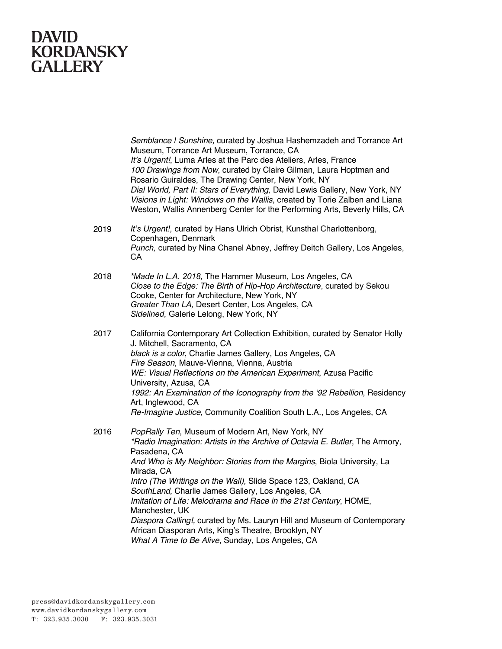*Semblance | Sunshine,* curated by Joshua Hashemzadeh and Torrance Art Museum, Torrance Art Museum, Torrance, CA *It's Urgent!*, Luma Arles at the Parc des Ateliers, Arles, France *100 Drawings from Now*, curated by Claire Gilman, Laura Hoptman and Rosario Guiraldes, The Drawing Center, New York, NY *Dial World, Part II: Stars of Everything,* David Lewis Gallery, New York, NY *Visions in Light: Windows on the Wallis*, created by Torie Zalben and Liana Weston, Wallis Annenberg Center for the Performing Arts, Beverly Hills, CA 2019 *It's Urgent!,* curated by Hans Ulrich Obrist, Kunsthal Charlottenborg, Copenhagen, Denmark *Punch,* curated by Nina Chanel Abney, Jeffrey Deitch Gallery, Los Angeles, CA 2018 *\*Made In L.A. 2018,* The Hammer Museum, Los Angeles, CA *Close to the Edge: The Birth of Hip-Hop Architecture*, curated by Sekou Cooke, Center for Architecture, New York, NY *Greater Than LA,* Desert Center, Los Angeles, CA *Sidelined,* Galerie Lelong, New York, NY 2017 California Contemporary Art Collection Exhibition, curated by Senator Holly J. Mitchell, Sacramento, CA *black is a color*, Charlie James Gallery, Los Angeles, CA *Fire Season*, Mauve-Vienna, Vienna, Austria *WE: Visual Reflections on the American Experiment*, Azusa Pacific University, Azusa, CA *1992: An Examination of the Iconography from the '92 Rebellion*, Residency Art, Inglewood, CA *Re-Imagine Justice*, Community Coalition South L.A., Los Angeles, CA 2016 *PopRally Ten*, Museum of Modern Art, New York, NY *\*Radio Imagination: Artists in the Archive of Octavia E. Butler*, The Armory, Pasadena, CA *And Who is My Neighbor: Stories from the Margins*, Biola University, La Mirada, CA *Intro (The Writings on the Wall),* Slide Space 123, Oakland, CA *SouthLand,* Charlie James Gallery, Los Angeles, CA *Imitation of Life: Melodrama and Race in the 21st Century*, HOME, Manchester, UK *Diaspora Calling!,* curated by Ms. Lauryn Hill and Museum of Contemporary African Diasporan Arts, King's Theatre, Brooklyn, NY *What A Time to Be Alive*, Sunday, Los Angeles, CA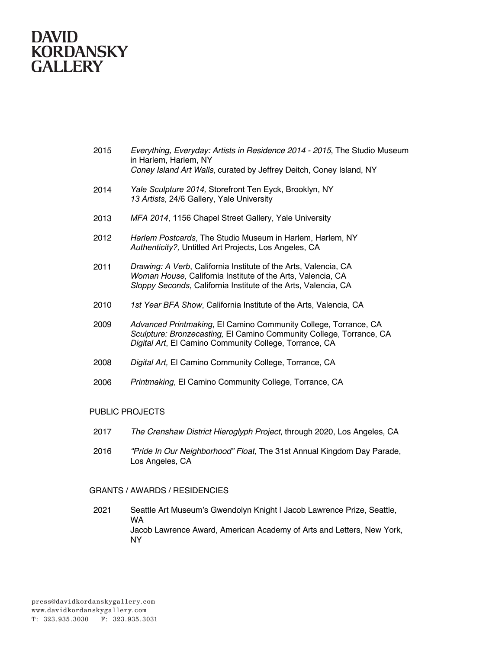- 2015 *Everything, Everyday: Artists in Residence 2014 - 2015*, The Studio Museum in Harlem, Harlem, NY *Coney Island Art Walls*, curated by Jeffrey Deitch, Coney Island, NY
- 2014 *Yale Sculpture 2014,* Storefront Ten Eyck, Brooklyn, NY *13 Artists*, 24/6 Gallery, Yale University
- 2013 *MFA 2014*, 1156 Chapel Street Gallery, Yale University
- 2012 *Harlem Postcards*, The Studio Museum in Harlem, Harlem, NY *Authenticity?,* Untitled Art Projects, Los Angeles, CA
- 2011 *Drawing: A Verb*, California Institute of the Arts, Valencia, CA *Woman House,* California Institute of the Arts, Valencia, CA *Sloppy Seconds*, California Institute of the Arts, Valencia, CA
- 2010 *1st Year BFA Show*, California Institute of the Arts, Valencia, CA
- 2009 *Advanced Printmaking*, El Camino Community College, Torrance, CA *Sculpture: Bronzecasting,* El Camino Community College, Torrance, CA *Digital Art*, El Camino Community College, Torrance, CA
- 2008 *Digital Art,* El Camino Community College, Torrance, CA
- 2006 *Printmaking*, El Camino Community College, Torrance, CA

#### PUBLIC PROJECTS

- 2017 *The Crenshaw District Hieroglyph Project*, through 2020, Los Angeles, CA
- 2016 *"Pride In Our Neighborhood" Float,* The 31st Annual Kingdom Day Parade, Los Angeles, CA

#### GRANTS / AWARDS / RESIDENCIES

2021 Seattle Art Museum's Gwendolyn Knight | Jacob Lawrence Prize, Seattle, WA Jacob Lawrence Award, American Academy of Arts and Letters, New York, NY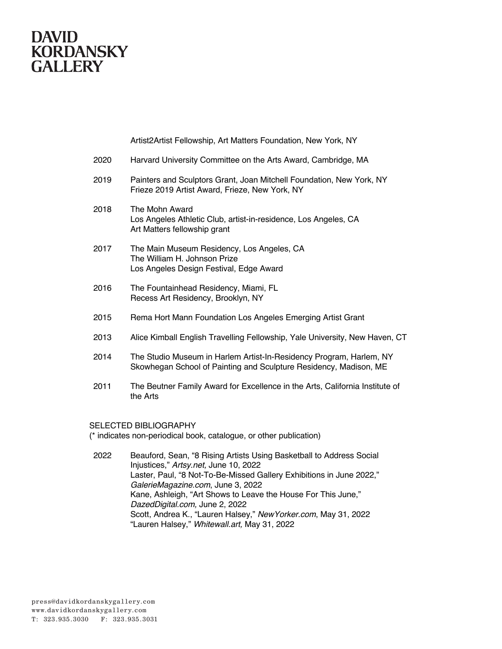Artist2Artist Fellowship, Art Matters Foundation, New York, NY

| 2020 | Harvard University Committee on the Arts Award, Cambridge, MA |  |  |  |
|------|---------------------------------------------------------------|--|--|--|
|------|---------------------------------------------------------------|--|--|--|

- 2019 Painters and Sculptors Grant, Joan Mitchell Foundation, New York, NY Frieze 2019 Artist Award, Frieze, New York, NY
- 2018 The Mohn Award Los Angeles Athletic Club, artist-in-residence, Los Angeles, CA Art Matters fellowship grant
- 2017 The Main Museum Residency, Los Angeles, CA The William H. Johnson Prize Los Angeles Design Festival, Edge Award
- 2016 The Fountainhead Residency, Miami, FL Recess Art Residency, Brooklyn, NY
- 2015 Rema Hort Mann Foundation Los Angeles Emerging Artist Grant
- 2013 Alice Kimball English Travelling Fellowship, Yale University, New Haven, CT
- 2014 The Studio Museum in Harlem Artist-In-Residency Program, Harlem, NY Skowhegan School of Painting and Sculpture Residency, Madison, ME
- 2011 The Beutner Family Award for Excellence in the Arts, California Institute of the Arts

#### SELECTED BIBLIOGRAPHY

(\* indicates non-periodical book, catalogue, or other publication)

2022 Beauford, Sean, "8 Rising Artists Using Basketball to Address Social Injustices," *Artsy.net,* June 10, 2022 Laster, Paul, "8 Not-To-Be-Missed Gallery Exhibitions in June 2022," *GalerieMagazine.com*, June 3, 2022 Kane, Ashleigh, "Art Shows to Leave the House For This June," *DazedDigital.com,* June 2, 2022 Scott, Andrea K., "Lauren Halsey," *NewYorker.com*, May 31, 2022 "Lauren Halsey," *Whitewall.art,* May 31, 2022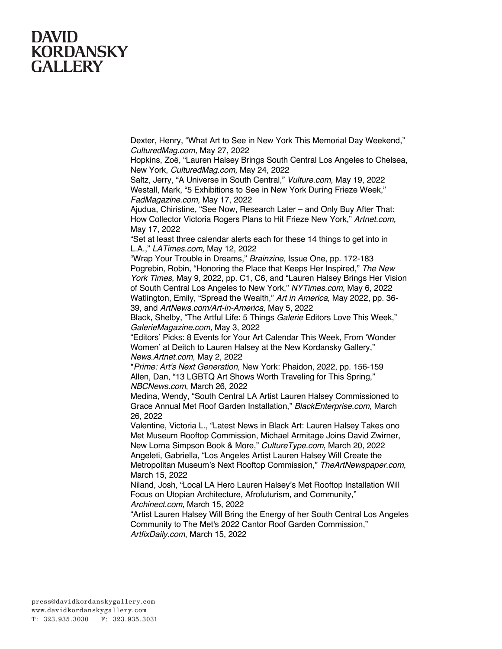Dexter, Henry, "What Art to See in New York This Memorial Day Weekend," *CulturedMag.com,* May 27, 2022

Hopkins, Zoë, "Lauren Halsey Brings South Central Los Angeles to Chelsea, New York, *CulturedMag.com,* May 24, 2022

Saltz, Jerry, "A Universe in South Central," *Vulture.com,* May 19, 2022 Westall, Mark, "5 Exhibitions to See in New York During Frieze Week," *FadMagazine.com,* May 17, 2022

Ajudua, Chiristine, "See Now, Research Later – and Only Buy After That: How Collector Victoria Rogers Plans to Hit Frieze New York," *Artnet.com,*  May 17, 2022

"Set at least three calendar alerts each for these 14 things to get into in L.A.," *LATimes.com,* May 12, 2022

"Wrap Your Trouble in Dreams," *Brainzine,* Issue One, pp. 172-183 Pogrebin, Robin, "Honoring the Place that Keeps Her Inspired," *The New York Times,* May 9, 2022, pp. C1, C6, and "Lauren Halsey Brings Her Vision of South Central Los Angeles to New York," *NYTimes.com,* May 6, 2022 Watlington, Emily, "Spread the Wealth," *Art in America,* May 2022, pp. 36- 39, and *ArtNews.com/Art-in-America,* May 5, 2022

Black, Shelby, "The Artful Life: 5 Things *Galerie* Editors Love This Week," *GalerieMagazine.com,* May 3, 2022

"Editors' Picks: 8 Events for Your Art Calendar This Week, From 'Wonder Women' at Deitch to Lauren Halsey at the New Kordansky Gallery," *News.Artnet.com*, May 2, 2022

\**Prime: Art's Next Generation*, New York: Phaidon, 2022, pp. 156-159 Allen, Dan, "13 LGBTQ Art Shows Worth Traveling for This Spring," *NBCNews.com*, March 26, 2022

Medina, Wendy, "South Central LA Artist Lauren Halsey Commissioned to Grace Annual Met Roof Garden Installation," *BlackEnterprise.com*, March 26, 2022

Valentine, Victoria L., "Latest News in Black Art: Lauren Halsey Takes ono Met Museum Rooftop Commission, Michael Armitage Joins David Zwirner, New Lorna Simpson Book & More," *CultureType.com*, March 20, 2022 Angeleti, Gabriella, "Los Angeles Artist Lauren Halsey Will Create the Metropolitan Museum's Next Rooftop Commission," *TheArtNewspaper.com*, March 15, 2022

Niland, Josh, "Local LA Hero Lauren Halsey's Met Rooftop Installation Will Focus on Utopian Architecture, Afrofuturism, and Community," *Archinect.com*, March 15, 2022

"Artist Lauren Halsey Will Bring the Energy of her South Central Los Angeles Community to The Met's 2022 Cantor Roof Garden Commission,"

*ArtfixDaily.com*, March 15, 2022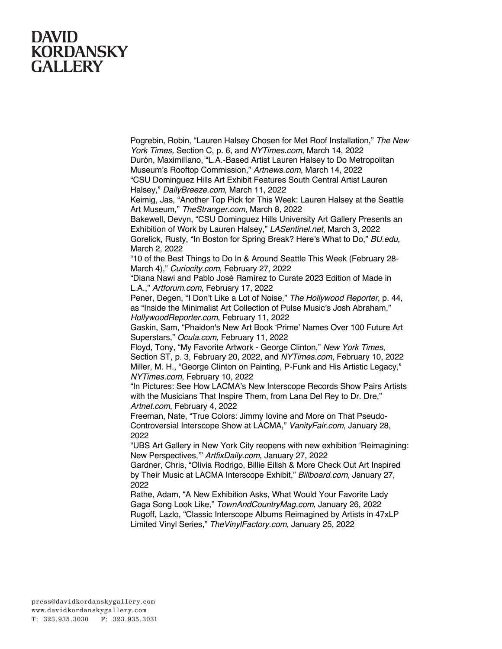Pogrebin, Robin, "Lauren Halsey Chosen for Met Roof Installation," *The New York Times,* Section C, p. 6, and *NYTimes.com*, March 14, 2022

Durón, Maximilíano, "L.A.-Based Artist Lauren Halsey to Do Metropolitan Museum's Rooftop Commission," *Artnews.com*, March 14, 2022

"CSU Dominguez Hills Art Exhibit Features South Central Artist Lauren Halsey," *DailyBreeze.com*, March 11, 2022

Keimig, Jas, "Another Top Pick for This Week: Lauren Halsey at the Seattle Art Museum," *TheStranger.com*, March 8, 2022

Bakewell, Devyn, "CSU Dominguez Hills University Art Gallery Presents an Exhibition of Work by Lauren Halsey," *LASentinel.net*, March 3, 2022

Gorelick, Rusty, "In Boston for Spring Break? Here's What to Do," *BU.edu*, March 2, 2022

"10 of the Best Things to Do In & Around Seattle This Week (February 28- March 4)," *Curiocity.com*, February 27, 2022

"Diana Nawi and Pablo José Ramírez to Curate 2023 Edition of Made in L.A.," *Artforum.com*, February 17, 2022

Pener, Degen, "I Don't Like a Lot of Noise," *The Hollywood Reporter*, p. 44, as "Inside the Minimalist Art Collection of Pulse Music's Josh Abraham," *HollywoodReporter.com*, February 11, 2022

Gaskin, Sam, "Phaidon's New Art Book 'Prime' Names Over 100 Future Art Superstars," *Ocula.com*, February 11, 2022

Floyd, Tony, "My Favorite Artwork - George Clinton," *New York Times*, Section ST, p. 3, February 20, 2022, and *NYTimes.com*, February 10, 2022 Miller, M. H., "George Clinton on Painting, P-Funk and His Artistic Legacy," *NYTimes.com*, February 10, 2022

"In Pictures: See How LACMA's New Interscope Records Show Pairs Artists with the Musicians That Inspire Them, from Lana Del Rey to Dr. Dre," *Artnet.com*, February 4, 2022

Freeman, Nate, "True Colors: Jimmy Iovine and More on That Pseudo-Controversial Interscope Show at LACMA," *VanityFair.com*, January 28, 2022

"UBS Art Gallery in New York City reopens with new exhibition 'Reimagining: New Perspectives,'" *ArtfixDaily.com*, January 27, 2022

Gardner, Chris, "Olivia Rodrigo, Billie Eilish & More Check Out Art Inspired by Their Music at LACMA Interscope Exhibit," *Billboard.com*, January 27, 2022

Rathe, Adam, "A New Exhibition Asks, What Would Your Favorite Lady Gaga Song Look Like," *TownAndCountryMag.com*, January 26, 2022 Rugoff, Lazlo, "Classic Interscope Albums Reimagined by Artists in 47xLP Limited Vinyl Series," *TheVinylFactory.com*, January 25, 2022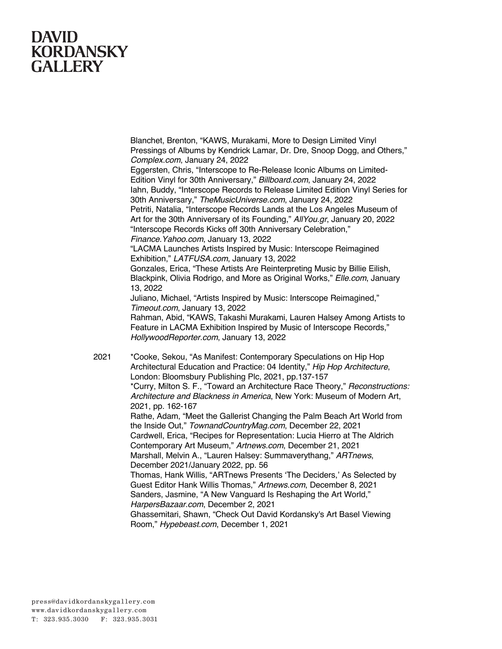Blanchet, Brenton, "KAWS, Murakami, More to Design Limited Vinyl Pressings of Albums by Kendrick Lamar, Dr. Dre, Snoop Dogg, and Others," *Complex.com*, January 24, 2022

Eggersten, Chris, "Interscope to Re-Release Iconic Albums on Limited-Edition Vinyl for 30th Anniversary," *Billboard.com*, January 24, 2022 Iahn, Buddy, "Interscope Records to Release Limited Edition Vinyl Series for 30th Anniversary," *TheMusicUniverse.com*, January 24, 2022 Petriti, Natalia, "Interscope Records Lands at the Los Angeles Museum of Art for the 30th Anniversary of its Founding," *AllYou.gr*, January 20, 2022 "Interscope Records Kicks off 30th Anniversary Celebration,"

*Finance.Yahoo.com*, January 13, 2022

"LACMA Launches Artists Inspired by Music: Interscope Reimagined Exhibition," *LATFUSA.com*, January 13, 2022

Gonzales, Erica, "These Artists Are Reinterpreting Music by Billie Eilish, Blackpink, Olivia Rodrigo, and More as Original Works," *Elle.com*, January 13, 2022

Juliano, Michael, "Artists Inspired by Music: Interscope Reimagined," *Timeout.com*, January 13, 2022

Rahman, Abid, "KAWS, Takashi Murakami, Lauren Halsey Among Artists to Feature in LACMA Exhibition Inspired by Music of Interscope Records," *HollywoodReporter.com*, January 13, 2022

2021 \*Cooke, Sekou, "As Manifest: Contemporary Speculations on Hip Hop Architectural Education and Practice: 04 Identity," *Hip Hop Architecture*, London: Bloomsbury Publishing Plc, 2021, pp.137-157 \*Curry, Milton S. F., "Toward an Architecture Race Theory," *Reconstructions: Architecture and Blackness in America*, New York: Museum of Modern Art, 2021, pp. 162-167 Rathe, Adam, "Meet the Gallerist Changing the Palm Beach Art World from the Inside Out," *TownandCountryMag.com*, December 22, 2021 Cardwell, Erica, "Recipes for Representation: Lucia Hierro at The Aldrich Contemporary Art Museum," *Artnews.com*, December 21, 2021 Marshall, Melvin A., "Lauren Halsey: Summaverythang," *ARTnews*, December 2021/January 2022, pp. 56 Thomas, Hank Willis, "ARTnews Presents 'The Deciders,' As Selected by Guest Editor Hank Willis Thomas," *Artnews.com*, December 8, 2021 Sanders, Jasmine, "A New Vanguard Is Reshaping the Art World," *HarpersBazaar.com*, December 2, 2021 Ghassemitari, Shawn, "Check Out David Kordansky's Art Basel Viewing

Room," *Hypebeast.com*, December 1, 2021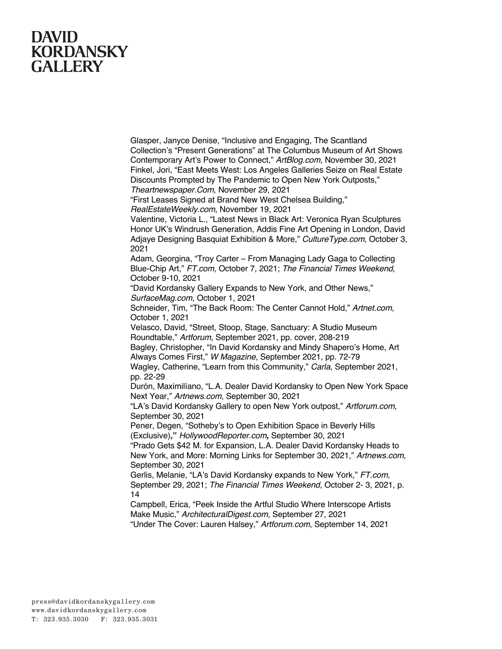Glasper, Janyce Denise, "Inclusive and Engaging, The Scantland Collection's "Present Generations" at The Columbus Museum of Art Shows Contemporary Art's Power to Connect," *ArtBlog.com*, November 30, 2021 Finkel, Jori, "East Meets West: Los Angeles Galleries Seize on Real Estate Discounts Prompted by The Pandemic to Open New York Outposts," *Theartnewspaper.Com*, November 29, 2021

"First Leases Signed at Brand New West Chelsea Building,"

*RealEstateWeekly.com*, November 19, 2021

Valentine, Victoria L., "Latest News in Black Art: Veronica Ryan Sculptures Honor UK's Windrush Generation, Addis Fine Art Opening in London, David Adjaye Designing Basquiat Exhibition & More," *CultureType.com*, October 3, 2021

Adam, Georgina, "Troy Carter – From Managing Lady Gaga to Collecting Blue-Chip Art," *FT.com*, October 7, 2021; *The Financial Times Weekend*, October 9-10, 2021

"David Kordansky Gallery Expands to New York, and Other News," *SurfaceMag.com,* October 1, 2021

Schneider, Tim, "The Back Room: The Center Cannot Hold," *Artnet.com*, October 1, 2021

Velasco, David, "Street, Stoop, Stage, Sanctuary: A Studio Museum Roundtable," *Artforum*, September 2021, pp. cover, 208-219

Bagley, Christopher, "In David Kordansky and Mindy Shapero's Home, Art Always Comes First," *W Magazine*, September 2021, pp. 72-79

Wagley, Catherine, "Learn from this Community," *Carla*, September 2021, pp. 22-29

Durón, Maximilíano, "L.A. Dealer David Kordansky to Open New York Space Next Year," *Artnews.com*, September 30, 2021

"LA's David Kordansky Gallery to open New York outpost," *Artforum.com*, September 30, 2021

Pener, Degen, "Sotheby's to Open Exhibition Space in Beverly Hills (Exclusive)**,"** *HollywoodReporter.com***,** September 30, 2021

"Prado Gets \$42 M. for Expansion, L.A. Dealer David Kordansky Heads to New York, and More: Morning Links for September 30, 2021," *Artnews.com*, September 30, 2021

Gerlis, Melanie, "LA's David Kordansky expands to New York," *FT.com*, September 29, 2021; *The Financial Times Weekend*, October 2- 3, 2021, p. 14

Campbell, Erica, "Peek Inside the Artful Studio Where Interscope Artists Make Music," *ArchitecturalDigest.com*, September 27, 2021

"Under The Cover: Lauren Halsey," *Artforum.com*, September 14, 2021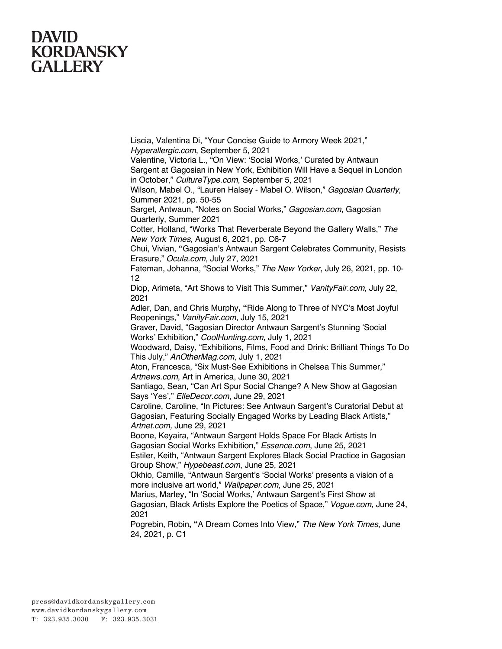Liscia, Valentina Di, "Your Concise Guide to Armory Week 2021," *Hyperallergic.com*, September 5, 2021

Valentine, Victoria L., "On View: 'Social Works,' Curated by Antwaun Sargent at Gagosian in New York, Exhibition Will Have a Sequel in London in October," *CultureType.com*, September 5, 2021

Wilson, Mabel O., "Lauren Halsey - Mabel O. Wilson," *Gagosian Quarterly*, Summer 2021, pp. 50-55

Sarget, Antwaun, "Notes on Social Works," *Gagosian.com*, Gagosian Quarterly, Summer 2021

Cotter, Holland, "Works That Reverberate Beyond the Gallery Walls," *The New York Times*, August 6, 2021, pp. C6-7

Chui, Vivian, **"**Gagosian's Antwaun Sargent Celebrates Community, Resists Erasure," *Ocula.com,* July 27, 2021

Fateman, Johanna, "Social Works," *The New Yorker*, July 26, 2021, pp. 10- 12

Diop, Arimeta, "Art Shows to Visit This Summer," *VanityFair.com*, July 22, 2021

Adler, Dan, and Chris Murphy**, "**Ride Along to Three of NYC's Most Joyful Reopenings," *VanityFair.com*, July 15, 2021

Graver, David, "Gagosian Director Antwaun Sargent's Stunning 'Social Works' Exhibition," *CoolHunting.com*, July 1, 2021

Woodward, Daisy, "Exhibitions, Films, Food and Drink: Brilliant Things To Do This July," *AnOtherMag.com*, July 1, 2021

Aton, Francesca, "Six Must-See Exhibitions in Chelsea This Summer," *Artnews.com*, Art in America, June 30, 2021

Santiago, Sean, "Can Art Spur Social Change? A New Show at Gagosian Says 'Yes'," *ElleDecor.com*, June 29, 2021

Caroline, Caroline, "In Pictures: See Antwaun Sargent's Curatorial Debut at Gagosian, Featuring Socially Engaged Works by Leading Black Artists," *Artnet.com,* June 29, 2021

Boone, Keyaira, "Antwaun Sargent Holds Space For Black Artists In Gagosian Social Works Exhibition," *Essence.com*, June 25, 2021

Estiler, Keith, "Antwaun Sargent Explores Black Social Practice in Gagosian Group Show," *Hypebeast.com*, June 25, 2021

Okhio, Camille, "Antwaun Sargent's 'Social Works' presents a vision of a more inclusive art world," *Wallpaper.com*, June 25, 2021

Marius, Marley, "In 'Social Works,' Antwaun Sargent's First Show at Gagosian, Black Artists Explore the Poetics of Space," *Vogue.com,* June 24,

2021

Pogrebin, Robin**, "**A Dream Comes Into View," *The New York Times*, June 24, 2021, p. C1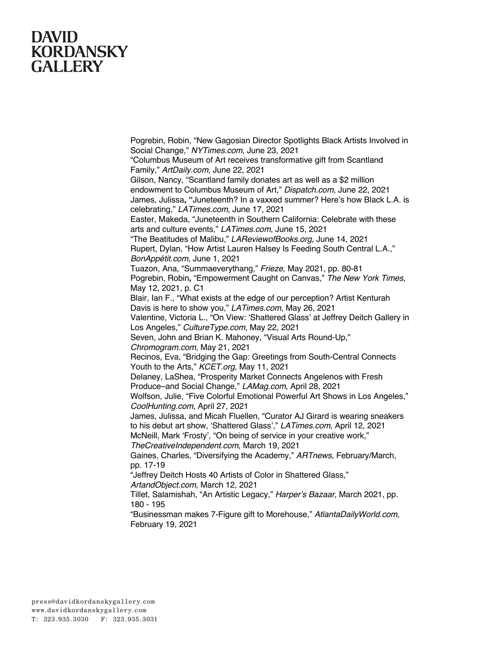Pogrebin, Robin, "New Gagosian Director Spotlights Black Artists Involved in Social Change," *NYTimes.com*, June 23, 2021 "Columbus Museum of Art receives transformative gift from Scantland Family," *ArtDaily.com*, June 22, 2021 Gilson, Nancy, "Scantland family donates art as well as a \$2 million endowment to Columbus Museum of Art," *Dispatch.com*, June 22, 2021 James, Julissa**, "**Juneteenth? In a vaxxed summer? Here's how Black L.A. is celebrating," *LATimes.com,* June 17, 2021 Easter, Makeda, "Juneteenth in Southern California: Celebrate with these arts and culture events," *LATimes.com*, June 15, 2021 "The Beatitudes of Malibu," *LAReviewofBooks.org*, June 14, 2021 Rupert, Dylan, "How Artist Lauren Halsey Is Feeding South Central L.A.," *BonAppétit.com*, June 1, 2021 Tuazon, Ana, "Summaeverythang," *Frieze*, May 2021, pp. 80-81 Pogrebin, Robin**,** "Empowerment Caught on Canvas," *The New York Times*, May 12, 2021, p. C1 Blair, Ian F., "What exists at the edge of our perception? Artist Kenturah Davis is here to show you," *LATimes.com*, May 26, 2021 Valentine, Victoria L., "On View: 'Shattered Glass' at Jeffrey Deitch Gallery in Los Angeles," *CultureType.com*, May 22, 2021 Seven, John and Brian K. Mahoney, "Visual Arts Round-Up," *Chromogram.com*, May 21, 2021 Recinos, Eva, "Bridging the Gap: Greetings from South-Central Connects Youth to the Arts," *KCET.org*, May 11, 2021 Delaney, LaShea, "Prosperity Market Connects Angelenos with Fresh Produce–and Social Change," *LAMag.com*, April 28, 2021 Wolfson, Julie, "Five Colorful Emotional Powerful Art Shows in Los Angeles," *CoolHunting.com*, April 27, 2021 James, Julissa, and Micah Fluellen, "Curator AJ Girard is wearing sneakers to his debut art show, 'Shattered Glass'," *LATimes.com*, April 12, 2021 McNeill, Mark 'Frosty', "On being of service in your creative work," *TheCreativeIndependent.com*, March 19, 2021 Gaines, Charles, "Diversifying the Academy," *ARTnews*, February/March, pp. 17-19 "Jeffrey Deitch Hosts 40 Artists of Color in Shattered Glass," *ArtandObject.com*, March 12, 2021 Tillet, Salamishah, "An Artistic Legacy," *Harper's Bazaar*, March 2021, pp. 180 - 195 "Businessman makes 7-Figure gift to Morehouse," *AtlantaDailyWorld.com*,

February 19, 2021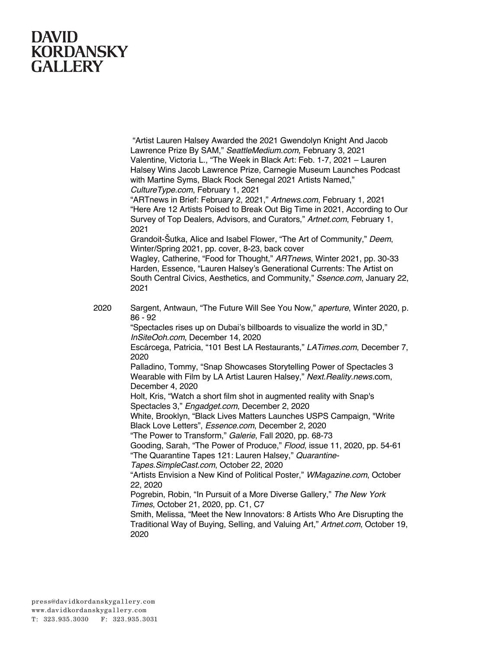"Artist Lauren Halsey Awarded the 2021 Gwendolyn Knight And Jacob Lawrence Prize By SAM," *SeattleMedium.com*, February 3, 2021 Valentine, Victoria L., "The Week in Black Art: Feb. 1-7, 2021 – Lauren Halsey Wins Jacob Lawrence Prize, Carnegie Museum Launches Podcast with Martine Syms, Black Rock Senegal 2021 Artists Named," *CultureType.com*, February 1, 2021

"ARTnews in Brief: February 2, 2021," *Artnews.com*, February 1, 2021 "Here Are 12 Artists Poised to Break Out Big Time in 2021, According to Our Survey of Top Dealers, Advisors, and Curators," *Artnet.com*, February 1, 2021

Grandoit-Šutka, Alice and Isabel Flower, "The Art of Community," *Deem*, Winter/Spring 2021, pp. cover, 8-23, back cover

Wagley, Catherine, "Food for Thought," *ARTnews*, Winter 2021, pp. 30-33 Harden, Essence, "Lauren Halsey's Generational Currents: The Artist on South Central Civics, Aesthetics, and Community," *Ssence.com*, January 22, 2021

2020 Sargent, Antwaun, "The Future Will See You Now," *aperture*, Winter 2020, p. 86 - 92

"Spectacles rises up on Dubai's billboards to visualize the world in 3D," *InSiteOoh.com*, December 14, 2020

Escárcega, Patricia, "101 Best LA Restaurants," *LATimes.com*, December 7, 2020

Palladino, Tommy, "Snap Showcases Storytelling Power of Spectacles 3 Wearable with Film by LA Artist Lauren Halsey," *Next.Reality.news*.com, December 4, 2020

Holt, Kris, "Watch a short film shot in augmented reality with Snap's Spectacles 3," *Engadget.com*, December 2, 2020

White, Brooklyn, "Black Lives Matters Launches USPS Campaign, "Write Black Love Letters", *Essence.com*, December 2, 2020

"The Power to Transform," *Galerie*, Fall 2020, pp. 68-73

Gooding, Sarah, "The Power of Produce," *Flood*, issue 11, 2020, pp. 54-61 "The Quarantine Tapes 121: Lauren Halsey," *Quarantine-*

*Tapes.SimpleCast.com*, October 22, 2020

"Artists Envision a New Kind of Political Poster," *WMagazine.com*, October 22, 2020

Pogrebin, Robin, "In Pursuit of a More Diverse Gallery," *The New York Times*, October 21, 2020, pp. C1, C7

Smith, Melissa, "Meet the New Innovators: 8 Artists Who Are Disrupting the Traditional Way of Buying, Selling, and Valuing Art," *Artnet.com*, October 19, 2020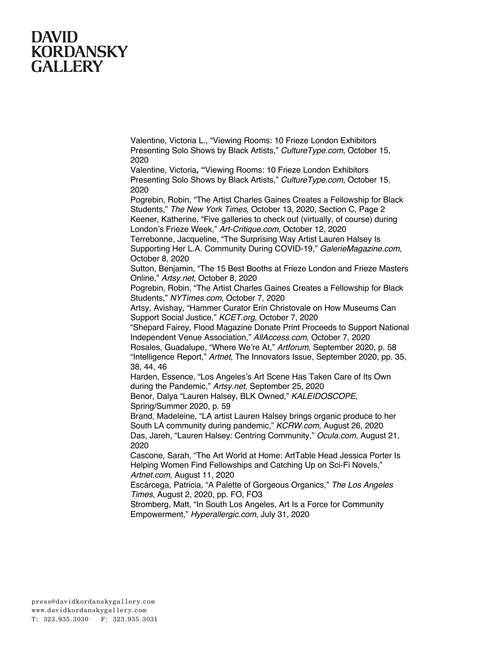Valentine, Victoria L., "Viewing Rooms: 10 Frieze London Exhibitors Presenting Solo Shows by Black Artists," *CultureType.com*, October 15, 2020

Valentine, Victoria**, "**Viewing Rooms: 10 Frieze London Exhibitors Presenting Solo Shows by Black Artists," *CultureType.com*, October 15, 2020

Pogrebin, Robin, "The Artist Charles Gaines Creates a Fellowship for Black Students," *The New York Times*, October 13, 2020, Section C, Page 2 Keener, Katherine, "Five galleries to check out (virtually, of course) during London's Frieze Week," *Art-Critique.com*, October 12, 2020

Terrebonne, Jacqueline, "The Surprising Way Artist Lauren Halsey Is Supporting Her L.A. Community During COVID-19," *GalerieMagazine.com*, October 8, 2020

Sutton, Benjamin, "The 15 Best Booths at Frieze London and Frieze Masters Online," *Artsy.net*, October 8, 2020

Pogrebin, Robin, "The Artist Charles Gaines Creates a Fellowship for Black Students," *NYTimes.com*, October 7, 2020

Artsy, Avishay, "Hammer Curator Erin Christovale on How Museums Can Support Social Justice," *KCET.org*, October 7, 2020

"Shepard Fairey, Flood Magazine Donate Print Proceeds to Support National Independent Venue Association," *AllAccess.com*, October 7, 2020

Rosales, Guadalupe, "Where We're At," *Artforum*, September 2020, p. 58 "Intelligence Report," *Artnet*, The Innovators Issue, September 2020, pp. 35, 38, 44, 46

Harden, Essence, "Los Angeles's Art Scene Has Taken Care of Its Own during the Pandemic," *Artsy.net*, September 25, 2020

Benor, Dalya "Lauren Halsey, BLK Owned," *KALEIDOSCOPE*, Spring/Summer 2020, p. 59

Brand, Madeleine, "LA artist Lauren Halsey brings organic produce to her South LA community during pandemic," *KCRW.com*, August 26, 2020 Das, Jareh, "Lauren Halsey: Centring Community," *Ocula.com*, August 21, 2020

Cascone, Sarah, "The Art World at Home: ArtTable Head Jessica Porter Is Helping Women Find Fellowships and Catching Up on Sci-Fi Novels," *Artnet.com*, August 11, 2020

Escárcega, Patricia, "A Palette of Gorgeous Organics," *The Los Angeles Times*, August 2, 2020, pp. FO, FO3

Stromberg, Matt, "In South Los Angeles, Art Is a Force for Community Empowerment," *Hyperallergic.com*, July 31, 2020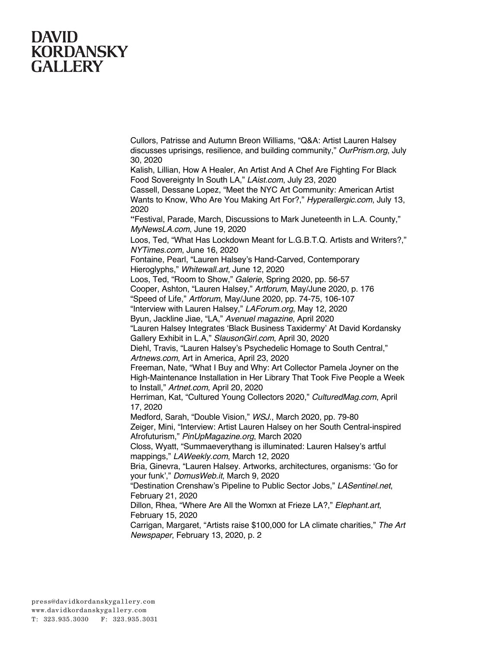Cullors, Patrisse and Autumn Breon Williams, "Q&A: Artist Lauren Halsey discusses uprisings, resilience, and building community," *OurPrism.org*, July 30, 2020

Kalish, Lillian, How A Healer, An Artist And A Chef Are Fighting For Black Food Sovereignty In South LA," *LAist.com*, July 23, 2020

Cassell, Dessane Lopez, "Meet the NYC Art Community: American Artist Wants to Know, Who Are You Making Art For?," *Hyperallergic.com*, July 13, 2020

**"**Festival, Parade, March, Discussions to Mark Juneteenth in L.A. County," *MyNewsLA.com*, June 19, 2020

Loos, Ted, "What Has Lockdown Meant for L.G.B.T.Q. Artists and Writers?," *NYTimes.com*, June 16, 2020

Fontaine, Pearl, "Lauren Halsey's Hand-Carved, Contemporary Hieroglyphs," *Whitewall.art,* June 12, 2020

Loos, Ted, "Room to Show," *Galerie*, Spring 2020, pp. 56-57

Cooper, Ashton, "Lauren Halsey," *Artforum*, May/June 2020, p. 176

"Speed of Life," *Artforum*, May/June 2020, pp. 74-75, 106-107

"Interview with Lauren Halsey," *LAForum.org*, May 12, 2020

Byun, Jackline Jiae, "LA," *Avenuel magazine*, April 2020

"Lauren Halsey Integrates 'Black Business Taxidermy' At David Kordansky Gallery Exhibit in L.A," *SlausonGirl.com*, April 30, 2020

Diehl, Travis, "Lauren Halsey's Psychedelic Homage to South Central," *Artnews.com*, Art in America, April 23, 2020

Freeman, Nate, "What I Buy and Why: Art Collector Pamela Joyner on the High-Maintenance Installation in Her Library That Took Five People a Week to Install," *Artnet.com*, April 20, 2020

Herriman, Kat, "Cultured Young Collectors 2020," *CulturedMag.com*, April 17, 2020

Medford, Sarah, "Double Vision," *WSJ.*, March 2020, pp. 79-80

Zeiger, Mini, "Interview: Artist Lauren Halsey on her South Central-inspired Afrofuturism," *PinUpMagazine.org*, March 2020

Closs, Wyatt, "Summaeverythang is illuminated: Lauren Halsey's artful mappings," *LAWeekly.com*, March 12, 2020

Bria, Ginevra, "Lauren Halsey. Artworks, architectures, organisms: 'Go for your funk'," *DomusWeb.it*, March 9, 2020

"Destination Crenshaw's Pipeline to Public Sector Jobs," *LASentinel.net*, February 21, 2020

Dillon, Rhea, "Where Are All the Womxn at Frieze LA?," *Elephant.art*, February 15, 2020

Carrigan, Margaret, "Artists raise \$100,000 for LA climate charities," *The Art Newspaper*, February 13, 2020, p. 2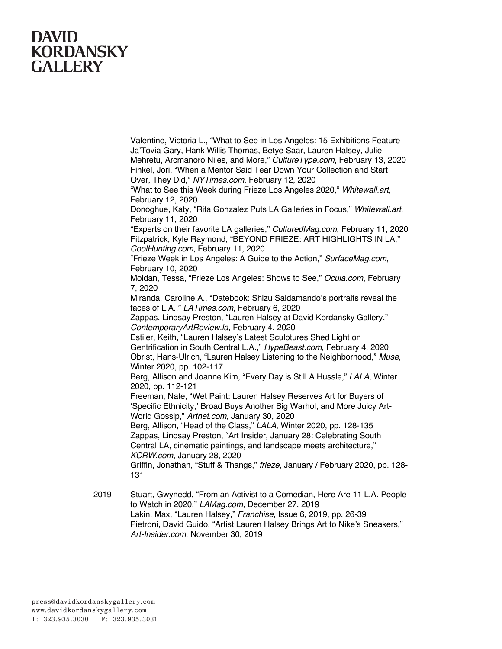Valentine, Victoria L., "What to See in Los Angeles: 15 Exhibitions Feature Ja'Tovia Gary, Hank Willis Thomas, Betye Saar, Lauren Halsey, Julie Mehretu, Arcmanoro Niles, and More," *CultureType.com*, February 13, 2020 Finkel, Jori, "When a Mentor Said Tear Down Your Collection and Start Over, They Did," *NYTimes.com*, February 12, 2020

"What to See this Week during Frieze Los Angeles 2020," *Whitewall.art*, February 12, 2020

Donoghue, Katy, "Rita Gonzalez Puts LA Galleries in Focus," *Whitewall.art*, February 11, 2020

"Experts on their favorite LA galleries," *CulturedMag.com*, February 11, 2020 Fitzpatrick, Kyle Raymond, "BEYOND FRIEZE: ART HIGHLIGHTS IN LA," *CoolHunting.com*, February 11, 2020

"Frieze Week in Los Angeles: A Guide to the Action," *SurfaceMag.com*, February 10, 2020

Moldan, Tessa, "Frieze Los Angeles: Shows to See," *Ocula.com*, February 7, 2020

Miranda, Caroline A., "Datebook: Shizu Saldamando's portraits reveal the faces of L.A.," *LATimes.com*, February 6, 2020

Zappas, Lindsay Preston, "Lauren Halsey at David Kordansky Gallery," *ContemporaryArtReview.la*, February 4, 2020

Estiler, Keith, "Lauren Halsey's Latest Sculptures Shed Light on Gentrification in South Central L.A.," *HypeBeast.com*, February 4, 2020 Obrist, Hans-Ulrich, "Lauren Halsey Listening to the Neighborhood," *Muse*, Winter 2020, pp. 102-117

Berg, Allison and Joanne Kim, "Every Day is Still A Hussle," *LALA*, Winter 2020, pp. 112-121

Freeman, Nate, "Wet Paint: Lauren Halsey Reserves Art for Buyers of 'Specific Ethnicity,' Broad Buys Another Big Warhol, and More Juicy Art-World Gossip," *Artnet.com*, January 30, 2020

Berg, Allison, "Head of the Class," *LALA*, Winter 2020, pp. 128-135 Zappas, Lindsay Preston, "Art Insider, January 28: Celebrating South Central LA, cinematic paintings, and landscape meets architecture," *KCRW.com*, January 28, 2020

Griffin, Jonathan, "Stuff & Thangs," *frieze*, January / February 2020, pp. 128- 131

2019 Stuart, Gwynedd, "From an Activist to a Comedian, Here Are 11 L.A. People to Watch in 2020," *LAMag.com,* December 27, 2019 Lakin, Max, "Lauren Halsey," *Franchise*, Issue 6, 2019, pp. 26-39 Pietroni, David Guido, "Artist Lauren Halsey Brings Art to Nike's Sneakers," *Art-Insider.com*, November 30, 2019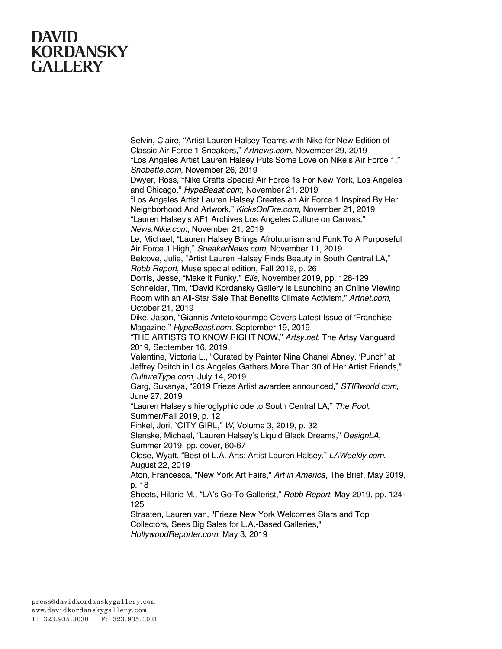Classic Air Force 1 Sneakers," *Artnews.com*, November 29, 2019 "Los Angeles Artist Lauren Halsey Puts Some Love on Nike's Air Force 1," *Snobette.com*, November 26, 2019 Dwyer, Ross, "Nike Crafts Special Air Force 1s For New York, Los Angeles and Chicago," *HypeBeast.com*, November 21, 2019 "Los Angeles Artist Lauren Halsey Creates an Air Force 1 Inspired By Her Neighborhood And Artwork," *KicksOnFire.com*, November 21, 2019 "Lauren Halsey's AF1 Archives Los Angeles Culture on Canvas," *News.Nike.com*, November 21, 2019 Le, Michael, "Lauren Halsey Brings Afrofuturism and Funk To A Purposeful Air Force 1 High," *SneakerNews.com*, November 11, 2019 Belcove, Julie, "Artist Lauren Halsey Finds Beauty in South Central LA," *Robb Report*, Muse special edition, Fall 2019, p. 26 Dorris, Jesse, "Make it Funky," *Elle*, November 2019, pp. 128-129 Schneider, Tim, "David Kordansky Gallery Is Launching an Online Viewing Room with an All-Star Sale That Benefits Climate Activism," *Artnet.com*, October 21, 2019 Dike, Jason, "Giannis Antetokounmpo Covers Latest Issue of 'Franchise' Magazine," *HypeBeast.com,* September 19, 2019 "THE ARTISTS TO KNOW RIGHT NOW," *Artsy.net*, The Artsy Vanguard 2019, September 16, 2019 Valentine, Victoria L., "Curated by Painter Nina Chanel Abney, 'Punch' at Jeffrey Deitch in Los Angeles Gathers More Than 30 of Her Artist Friends," *CultureType.com*, July 14, 2019 Garg, Sukanya, "2019 Frieze Artist awardee announced," *STIRworld.com,* June 27, 2019 "Lauren Halsey's hieroglyphic ode to South Central LA," *The Pool*, Summer/Fall 2019, p. 12 Finkel, Jori, "CITY GIRL," *W*, Volume 3, 2019, p. 32 Slenske, Michael, "Lauren Halsey's Liquid Black Dreams," *DesignLA*, Summer 2019, pp. cover, 60-67 Close, Wyatt, "Best of L.A. Arts: Artist Lauren Halsey," *LAWeekly.com*, August 22, 2019 Aton, Francesca, "New York Art Fairs," *Art in America*, The Brief, May 2019, p. 18 Sheets, Hilarie M., "LA's Go-To Gallerist," *Robb Report*, May 2019, pp. 124- 125 Straaten, Lauren van, "Frieze New York Welcomes Stars and Top Collectors, Sees Big Sales for L.A.-Based Galleries," *HollywoodReporter.com*, May 3, 2019

Selvin, Claire, "Artist Lauren Halsey Teams with Nike for New Edition of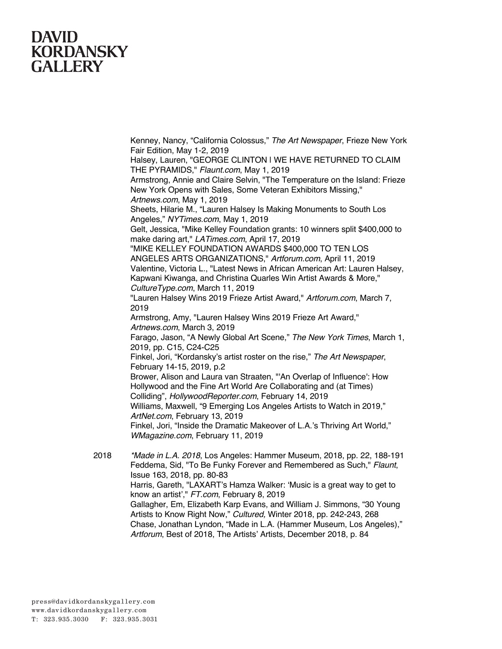Kenney, Nancy, "California Colossus," *The Art Newspaper*, Frieze New York Fair Edition, May 1-2, 2019 Halsey, Lauren, "GEORGE CLINTON | WE HAVE RETURNED TO CLAIM THE PYRAMIDS," *Flaunt.com*, May 1, 2019 Armstrong, Annie and Claire Selvin, "The Temperature on the Island: Frieze New York Opens with Sales, Some Veteran Exhibitors Missing," *Artnews.com*, May 1, 2019 Sheets, Hilarie M., "Lauren Halsey Is Making Monuments to South Los Angeles," *NYTimes.com*, May 1, 2019 Gelt, Jessica, "Mike Kelley Foundation grants: 10 winners split \$400,000 to make daring art," *LATimes.com*, April 17, 2019 "MIKE KELLEY FOUNDATION AWARDS \$400,000 TO TEN LOS ANGELES ARTS ORGANIZATIONS," *Artforum.com*, April 11, 2019 Valentine, Victoria L., "Latest News in African American Art: Lauren Halsey, Kapwani Kiwanga, and Christina Quarles Win Artist Awards & More," *CultureType.com*, March 11, 2019 "Lauren Halsey Wins 2019 Frieze Artist Award," *Artforum.com*, March 7, 2019 Armstrong, Amy, "Lauren Halsey Wins 2019 Frieze Art Award," *Artnews.com*, March 3, 2019 Farago, Jason, "A Newly Global Art Scene," *The New York Times*, March 1, 2019, pp. C15, C24-C25 Finkel, Jori, "Kordansky's artist roster on the rise," *The Art Newspaper*, February 14-15, 2019, p.2 Brower, Alison and Laura van Straaten, "'An Overlap of Influence': How Hollywood and the Fine Art World Are Collaborating and (at Times) Colliding", *HollywoodReporter.com*, February 14, 2019 Williams, Maxwell, "9 Emerging Los Angeles Artists to Watch in 2019," *ArtNet.com*, February 13, 2019 Finkel, Jori, "Inside the Dramatic Makeover of L.A.'s Thriving Art World," *WMagazine.com*, February 11, 2019 2018 *\*Made in L.A. 2018*, Los Angeles: Hammer Museum, 2018, pp. 22, 188-191 Feddema, Sid, "To Be Funky Forever and Remembered as Such," *Flaunt*, Issue 163, 2018, pp. 80-83

Harris, Gareth, "LAXART's Hamza Walker: 'Music is a great way to get to know an artist'," *FT.com*, February 8, 2019

Gallagher, Em, Elizabeth Karp Evans, and William J. Simmons, "30 Young Artists to Know Right Now," *Cultured,* Winter 2018, pp. 242-243, 268 Chase, Jonathan Lyndon, "Made in L.A. (Hammer Museum, Los Angeles)," *Artforum*, Best of 2018, The Artists' Artists, December 2018, p. 84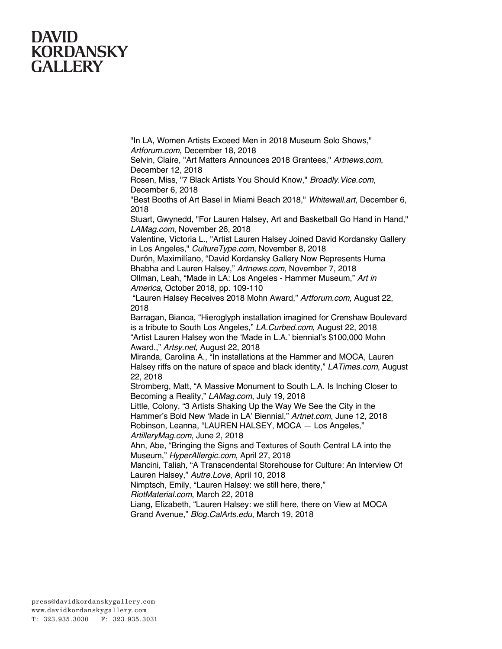"In LA, Women Artists Exceed Men in 2018 Museum Solo Shows," *Artforum.com*, December 18, 2018

Selvin, Claire, "Art Matters Announces 2018 Grantees," *Artnews.com*, December 12, 2018

Rosen, Miss, "7 Black Artists You Should Know," *Broadly.Vice.com*, December 6, 2018

"Best Booths of Art Basel in Miami Beach 2018," *Whitewall.art*, December 6, 2018

Stuart, Gwynedd, "For Lauren Halsey, Art and Basketball Go Hand in Hand," *LAMag.com*, November 26, 2018

Valentine, Victoria L., "Artist Lauren Halsey Joined David Kordansky Gallery in Los Angeles," *CultureType.com*, November 8, 2018

Durón, Maximilíano, "David Kordansky Gallery Now Represents Huma Bhabha and Lauren Halsey," *Artnews.com*, November 7, 2018

Ollman, Leah, "Made in LA: Los Angeles - Hammer Museum," *Art in America*, October 2018, pp. 109-110

"Lauren Halsey Receives 2018 Mohn Award," *Artforum.com*, August 22, 2018

Barragan, Bianca, "Hieroglyph installation imagined for Crenshaw Boulevard is a tribute to South Los Angeles," *LA.Curbed.com*, August 22, 2018 "Artist Lauren Halsey won the 'Made in L.A.' biennial's \$100,000 Mohn Award.," *Artsy.net*, August 22, 2018

Miranda, Carolina A., "In installations at the Hammer and MOCA, Lauren Halsey riffs on the nature of space and black identity," *LATimes.com*, August 22, 2018

Stromberg, Matt, "A Massive Monument to South L.A. Is Inching Closer to Becoming a Reality," *LAMag.com*, July 19, 2018

Little, Colony, "3 Artists Shaking Up the Way We See the City in the Hammer's Bold New 'Made in LA' Biennial," *Artnet.com*, June 12, 2018 Robinson, Leanna, "LAUREN HALSEY, MOCA — Los Angeles,"

*ArtilleryMag.com*, June 2, 2018

Ahn, Abe, "Bringing the Signs and Textures of South Central LA into the Museum," *HyperAllergic.com*, April 27, 2018

Mancini, Taliah, "A Transcendental Storehouse for Culture: An Interview Of Lauren Halsey," *Autre.Love*, April 10, 2018

Nimptsch, Emily, "Lauren Halsey: we still here, there,"

*RiotMaterial.com*, March 22, 2018

Liang, Elizabeth, "Lauren Halsey: we still here, there on View at MOCA Grand Avenue," *Blog.CalArts.edu*, March 19, 2018